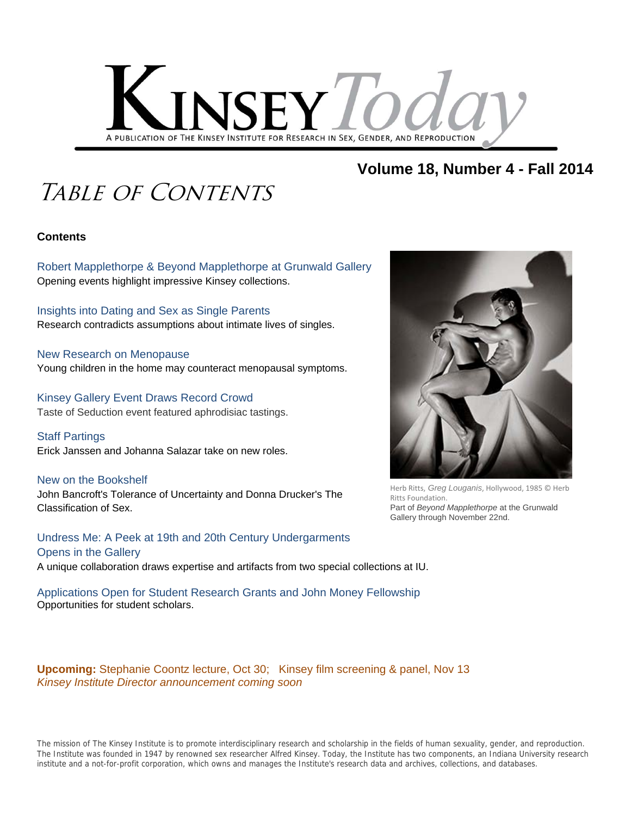

#### **Volume 18, Number 4 - Fall 2014**

### Table of Contents

#### **Contents**

Robert Mapplethorpe & Beyond Mapplethorpe at Grunwald Gallery Opening events highlight impressive Kinsey collections.

Insights into Dating and Sex as Single Parents Research contradicts assumptions about intimate lives of singles.

New Research on Menopause Young children in the home may counteract menopausal symptoms.

Kinsey Gallery Event Draws Record Crowd Taste of Seduction event featured aphrodisiac tastings.

Staff Partings Erick Janssen and Johanna Salazar take on new roles.

New on the Bookshelf John Bancroft's Tolerance of Uncertainty and Donna Drucker's The Classification of Sex.

Undress Me: A Peek at 19th and 20th Century Undergarments Opens in the Gallery A unique collaboration draws expertise and artifacts from two special collections at IU.

Applications Open for Student Research Grants and John Money Fellowship Opportunities for student scholars.

**Upcoming:** Stephanie Coontz lecture, Oct 30; Kinsey film screening & panel, Nov 13 *Kinsey Institute Director announcement coming soon*





Herb Ritts, *Greg Louganis*, Hollywood, 1985 © Herb Ritts Foundation. Part of *Beyond Mapplethorpe* at the Grunwald Gallery through November 22nd.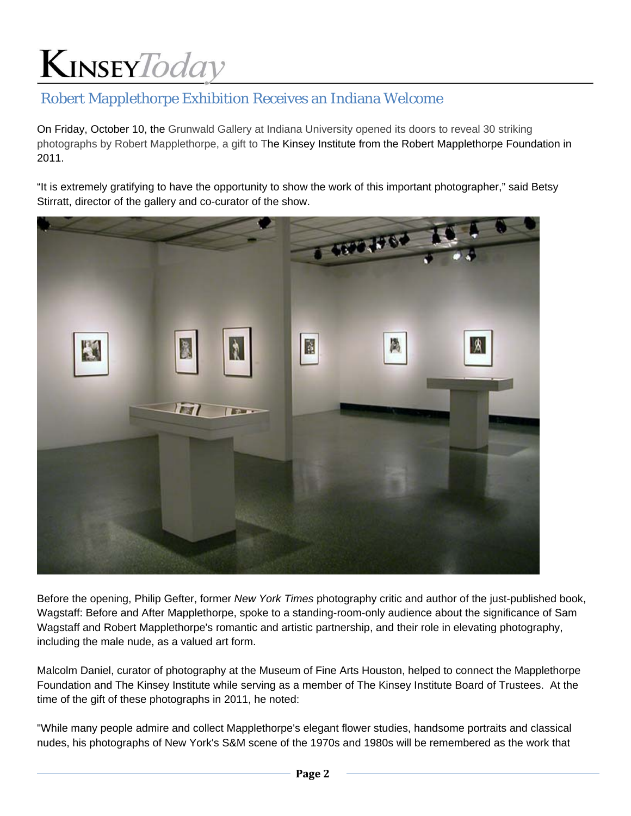### Robert Mapplethorpe Exhibition Receives an Indiana Welcome

On Friday, October 10, the Grunwald Gallery at Indiana University opened its doors to reveal 30 striking photographs by Robert Mapplethorpe, a gift to The Kinsey Institute from the Robert Mapplethorpe Foundation in 2011.

"It is extremely gratifying to have the opportunity to show the work of this important photographer," said Betsy Stirratt, director of the gallery and co-curator of the show.



Before the opening, Philip Gefter, former *New York Times* photography critic and author of the just-published book, Wagstaff: Before and After Mapplethorpe, spoke to a standing-room-only audience about the significance of Sam Wagstaff and Robert Mapplethorpe's romantic and artistic partnership, and their role in elevating photography, including the male nude, as a valued art form.

Malcolm Daniel, curator of photography at the Museum of Fine Arts Houston, helped to connect the Mapplethorpe Foundation and The Kinsey Institute while serving as a member of The Kinsey Institute Board of Trustees. At the time of the gift of these photographs in 2011, he noted:

"While many people admire and collect Mapplethorpe's elegant flower studies, handsome portraits and classical nudes, his photographs of New York's S&M scene of the 1970s and 1980s will be remembered as the work that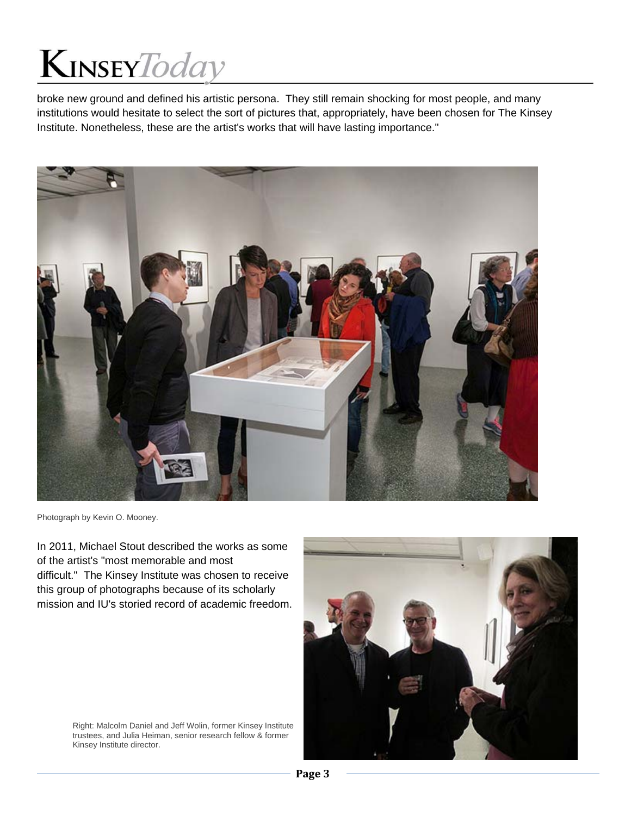broke new ground and defined his artistic persona. They still remain shocking for most people, and many institutions would hesitate to select the sort of pictures that, appropriately, have been chosen for The Kinsey Institute. Nonetheless, these are the artist's works that will have lasting importance."



Photograph by Kevin O. Mooney.

In 2011, Michael Stout described the works as some of the artist's "most memorable and most difficult." The Kinsey Institute was chosen to receive this group of photographs because of its scholarly mission and IU's storied record of academic freedom.

Right: Malcolm Daniel and Jeff Wolin, former Kinsey Institute trustees, and Julia Heiman, senior research fellow & former Kinsey Institute director.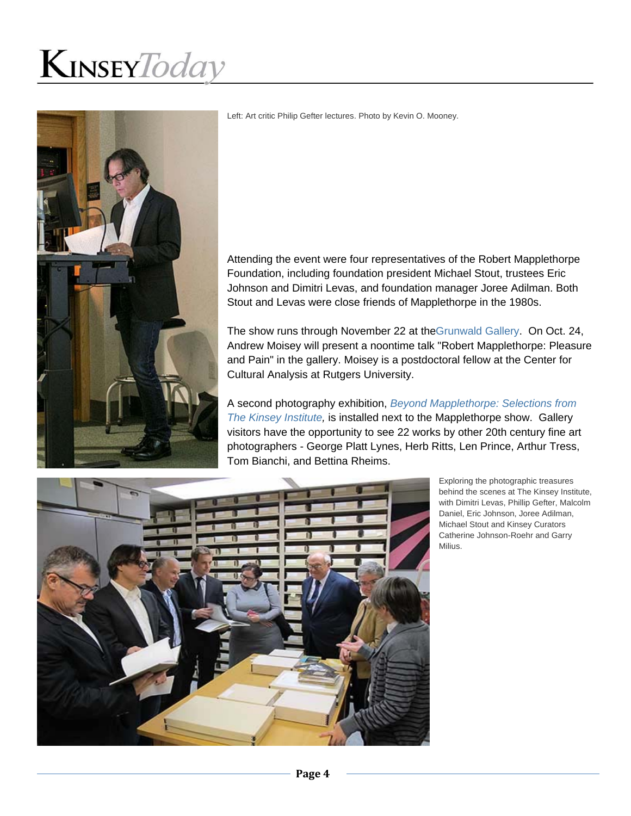

Left: Art critic Philip Gefter lectures. Photo by Kevin O. Mooney.

Attending the event were four representatives of the Robert Mapplethorpe Foundation, including foundation president Michael Stout, trustees Eric Johnson and Dimitri Levas, and foundation manager Joree Adilman. Both Stout and Levas were close friends of Mapplethorpe in the 1980s.

The show runs through November 22 at theGrunwald Gallery. On Oct. 24, Andrew Moisey will present a noontime talk "Robert Mapplethorpe: Pleasure and Pain" in the gallery. Moisey is a postdoctoral fellow at the Center for Cultural Analysis at Rutgers University.

A second photography exhibition, *Beyond Mapplethorpe: Selections from The Kinsey Institute,* is installed next to the Mapplethorpe show. Gallery visitors have the opportunity to see 22 works by other 20th century fine art photographers - George Platt Lynes, Herb Ritts, Len Prince, Arthur Tress, Tom Bianchi, and Bettina Rheims.



Exploring the photographic treasures behind the scenes at The Kinsey Institute, with Dimitri Levas, Phillip Gefter, Malcolm Daniel, Eric Johnson, Joree Adilman, Michael Stout and Kinsey Curators Catherine Johnson-Roehr and Garry Milius.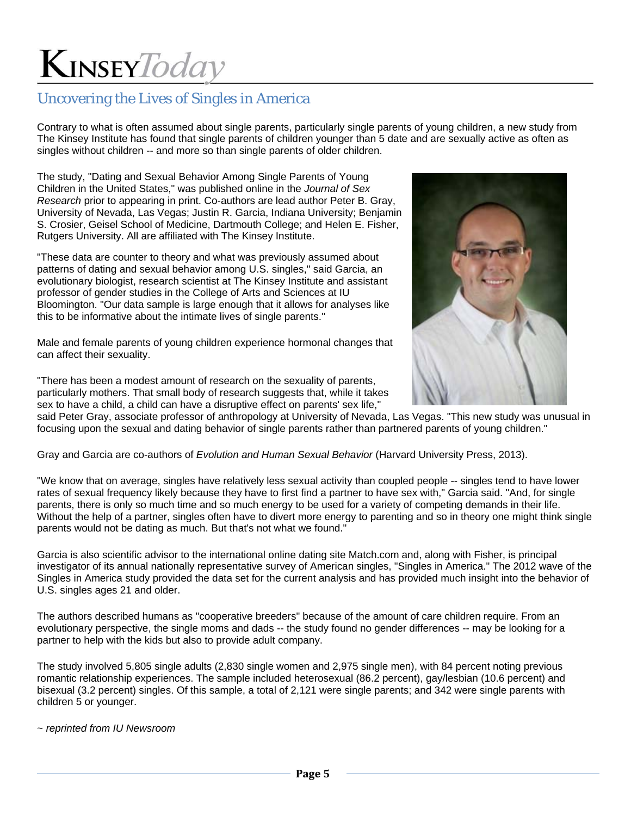### Uncovering the Lives of Singles in America

Contrary to what is often assumed about single parents, particularly single parents of young children, a new study from The Kinsey Institute has found that single parents of children younger than 5 date and are sexually active as often as singles without children -- and more so than single parents of older children.

The study, "Dating and Sexual Behavior Among Single Parents of Young Children in the United States," was published online in the *Journal of Sex Research* prior to appearing in print. Co-authors are lead author Peter B. Gray, University of Nevada, Las Vegas; Justin R. Garcia, Indiana University; Benjamin S. Crosier, Geisel School of Medicine, Dartmouth College; and Helen E. Fisher, Rutgers University. All are affiliated with The Kinsey Institute.

"These data are counter to theory and what was previously assumed about patterns of dating and sexual behavior among U.S. singles," said Garcia, an evolutionary biologist, research scientist at The Kinsey Institute and assistant professor of gender studies in the College of Arts and Sciences at IU Bloomington. "Our data sample is large enough that it allows for analyses like this to be informative about the intimate lives of single parents."

Male and female parents of young children experience hormonal changes that can affect their sexuality.

"There has been a modest amount of research on the sexuality of parents, particularly mothers. That small body of research suggests that, while it takes sex to have a child, a child can have a disruptive effect on parents' sex life,"



said Peter Gray, associate professor of anthropology at University of Nevada, Las Vegas. "This new study was unusual in focusing upon the sexual and dating behavior of single parents rather than partnered parents of young children."

Gray and Garcia are co-authors of *Evolution and Human Sexual Behavior* (Harvard University Press, 2013).

"We know that on average, singles have relatively less sexual activity than coupled people -- singles tend to have lower rates of sexual frequency likely because they have to first find a partner to have sex with," Garcia said. "And, for single parents, there is only so much time and so much energy to be used for a variety of competing demands in their life. Without the help of a partner, singles often have to divert more energy to parenting and so in theory one might think single parents would not be dating as much. But that's not what we found."

Garcia is also scientific advisor to the international online dating site Match.com and, along with Fisher, is principal investigator of its annual nationally representative survey of American singles, "Singles in America." The 2012 wave of the Singles in America study provided the data set for the current analysis and has provided much insight into the behavior of U.S. singles ages 21 and older.

The authors described humans as "cooperative breeders" because of the amount of care children require. From an evolutionary perspective, the single moms and dads -- the study found no gender differences -- may be looking for a partner to help with the kids but also to provide adult company.

The study involved 5,805 single adults (2,830 single women and 2,975 single men), with 84 percent noting previous romantic relationship experiences. The sample included heterosexual (86.2 percent), gay/lesbian (10.6 percent) and bisexual (3.2 percent) singles. Of this sample, a total of 2,121 were single parents; and 342 were single parents with children 5 or younger.

~ *reprinted from IU Newsroom*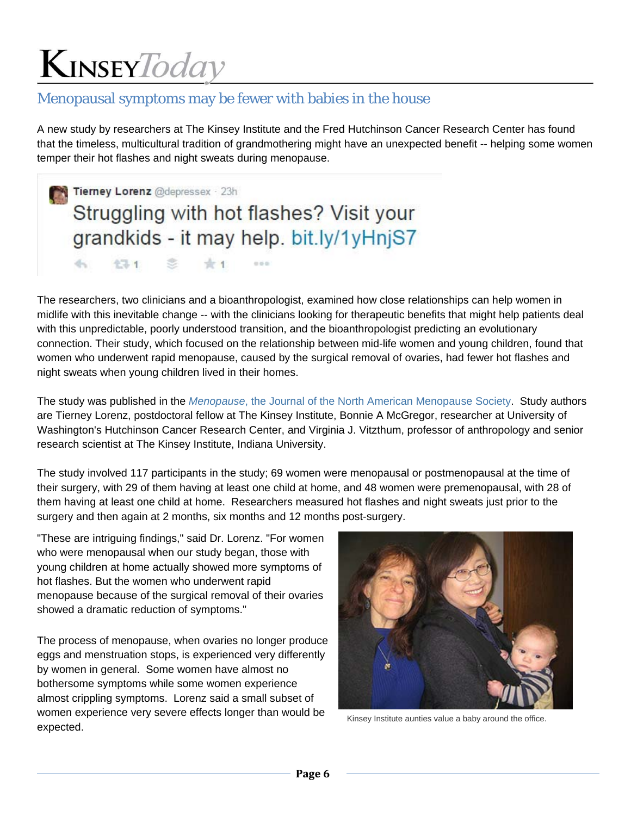#### Menopausal symptoms may be fewer with babies in the house

A new study by researchers at The Kinsey Institute and the Fred Hutchinson Cancer Research Center has found that the timeless, multicultural tradition of grandmothering might have an unexpected benefit -- helping some women temper their hot flashes and night sweats during menopause.

Tierney Lorenz @depressex 23h Struggling with hot flashes? Visit your grandkids - it may help. bit.ly/1yHnjS7 d-c  $47.1$ 

 $0 0 0$ 

The researchers, two clinicians and a bioanthropologist, examined how close relationships can help women in midlife with this inevitable change -- with the clinicians looking for therapeutic benefits that might help patients deal with this unpredictable, poorly understood transition, and the bioanthropologist predicting an evolutionary connection. Their study, which focused on the relationship between mid-life women and young children, found that women who underwent rapid menopause, caused by the surgical removal of ovaries, had fewer hot flashes and night sweats when young children lived in their homes.

The study was published in the *Menopause*, the Journal of the North American Menopause Society. Study authors are Tierney Lorenz, postdoctoral fellow at The Kinsey Institute, Bonnie A McGregor, researcher at University of Washington's Hutchinson Cancer Research Center, and Virginia J. Vitzthum, professor of anthropology and senior research scientist at The Kinsey Institute, Indiana University.

The study involved 117 participants in the study; 69 women were menopausal or postmenopausal at the time of their surgery, with 29 of them having at least one child at home, and 48 women were premenopausal, with 28 of them having at least one child at home. Researchers measured hot flashes and night sweats just prior to the surgery and then again at 2 months, six months and 12 months post-surgery.

"These are intriguing findings," said Dr. Lorenz. "For women who were menopausal when our study began, those with young children at home actually showed more symptoms of hot flashes. But the women who underwent rapid menopause because of the surgical removal of their ovaries showed a dramatic reduction of symptoms."

The process of menopause, when ovaries no longer produce eggs and menstruation stops, is experienced very differently by women in general. Some women have almost no bothersome symptoms while some women experience almost crippling symptoms. Lorenz said a small subset of women experience very severe effects longer than would be women experience very severe enects longer than would be Kinsey Institute aunties value a baby around the office.<br>expected.

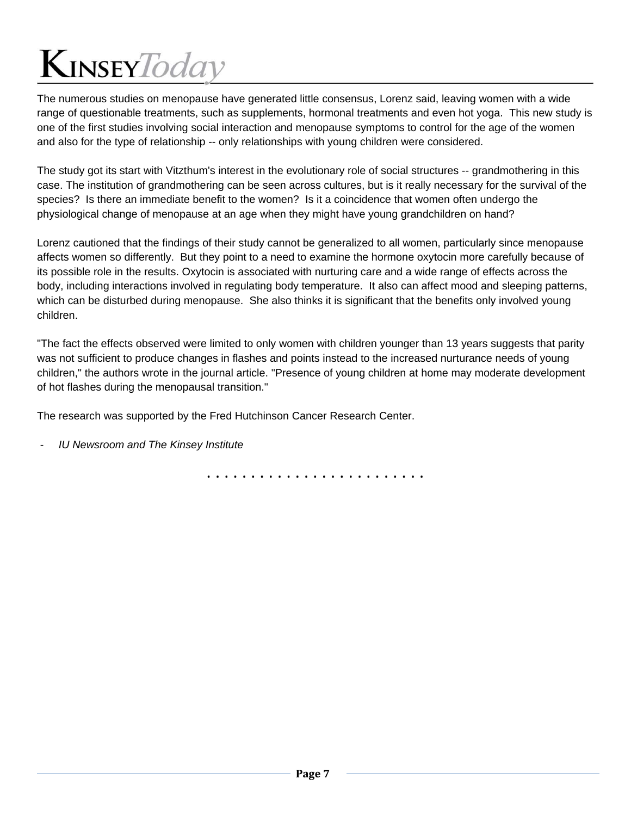The numerous studies on menopause have generated little consensus, Lorenz said, leaving women with a wide range of questionable treatments, such as supplements, hormonal treatments and even hot yoga. This new study is one of the first studies involving social interaction and menopause symptoms to control for the age of the women and also for the type of relationship -- only relationships with young children were considered.

The study got its start with Vitzthum's interest in the evolutionary role of social structures -- grandmothering in this case. The institution of grandmothering can be seen across cultures, but is it really necessary for the survival of the species? Is there an immediate benefit to the women? Is it a coincidence that women often undergo the physiological change of menopause at an age when they might have young grandchildren on hand?

Lorenz cautioned that the findings of their study cannot be generalized to all women, particularly since menopause affects women so differently. But they point to a need to examine the hormone oxytocin more carefully because of its possible role in the results. Oxytocin is associated with nurturing care and a wide range of effects across the body, including interactions involved in regulating body temperature. It also can affect mood and sleeping patterns, which can be disturbed during menopause. She also thinks it is significant that the benefits only involved young children.

"The fact the effects observed were limited to only women with children younger than 13 years suggests that parity was not sufficient to produce changes in flashes and points instead to the increased nurturance needs of young children," the authors wrote in the journal article. "Presence of young children at home may moderate development of hot flashes during the menopausal transition."

The research was supported by the Fred Hutchinson Cancer Research Center.

- *IU Newsroom and The Kinsey Institute*

. . . . . . . . . . . . . . . . . . . . . . . . .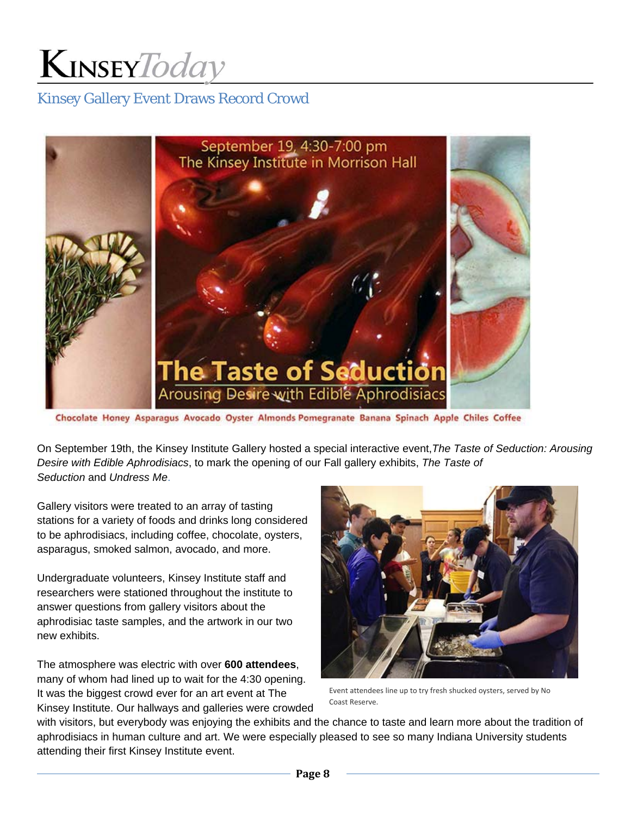### Kinsey Gallery Event Draws Record Crowd



Chocolate Honey Asparagus Avocado Oyster Almonds Pomegranate Banana Spinach Apple Chiles Coffee

On September 19th, the Kinsey Institute Gallery hosted a special interactive event,*The Taste of Seduction: Arousing Desire with Edible Aphrodisiacs*, to mark the opening of our Fall gallery exhibits, *The Taste of Seduction* and *Undress Me*.

Gallery visitors were treated to an array of tasting stations for a variety of foods and drinks long considered to be aphrodisiacs, including coffee, chocolate, oysters, asparagus, smoked salmon, avocado, and more.

Undergraduate volunteers, Kinsey Institute staff and researchers were stationed throughout the institute to answer questions from gallery visitors about the aphrodisiac taste samples, and the artwork in our two new exhibits.

The atmosphere was electric with over **600 attendees**, many of whom had lined up to wait for the 4:30 opening. It was the biggest crowd ever for an art event at The Kinsey Institute. Our hallways and galleries were crowded



Event attendees line up to try fresh shucked oysters, served by No Coast Reserve.

with visitors, but everybody was enjoying the exhibits and the chance to taste and learn more about the tradition of aphrodisiacs in human culture and art. We were especially pleased to see so many Indiana University students attending their first Kinsey Institute event.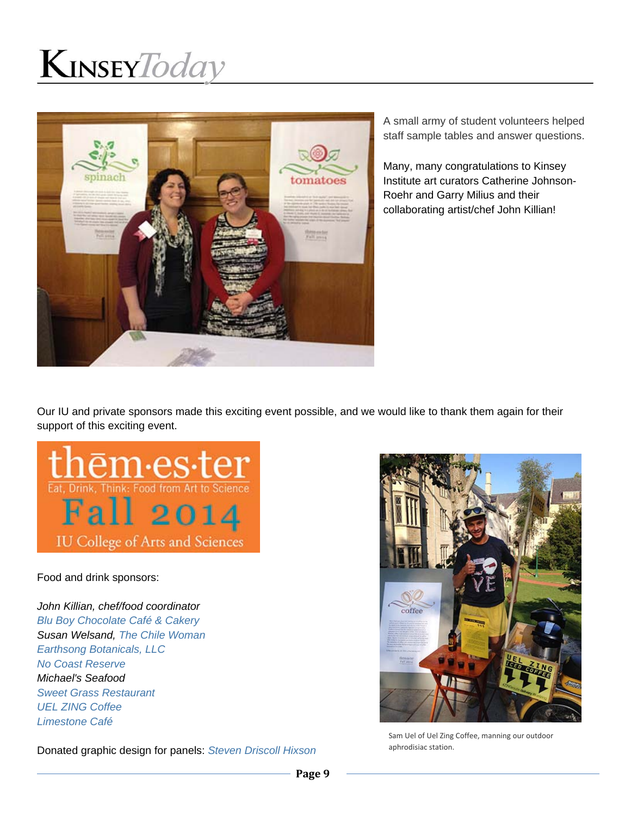

A small army of student volunteers helped staff sample tables and answer questions.

Many, many congratulations to Kinsey Institute art curators Catherine Johnson-Roehr and Garry Milius and their collaborating artist/chef John Killian!

Our IU and private sponsors made this exciting event possible, and we would like to thank them again for their support of this exciting event.



Food and drink sponsors:

*John Killian, chef/food coordinator Blu Boy Chocolate Café & Cakery Susan Welsand, The Chile Woman Earthsong Botanicals, LLC No Coast Reserve Michael's Seafood Sweet Grass Restaurant UEL ZING Coffee Limestone Café*

Donated graphic design for panels: *Steven Driscoll Hixson*



Sam Uel of Uel Zing Coffee, manning our outdoor aphrodisiac station.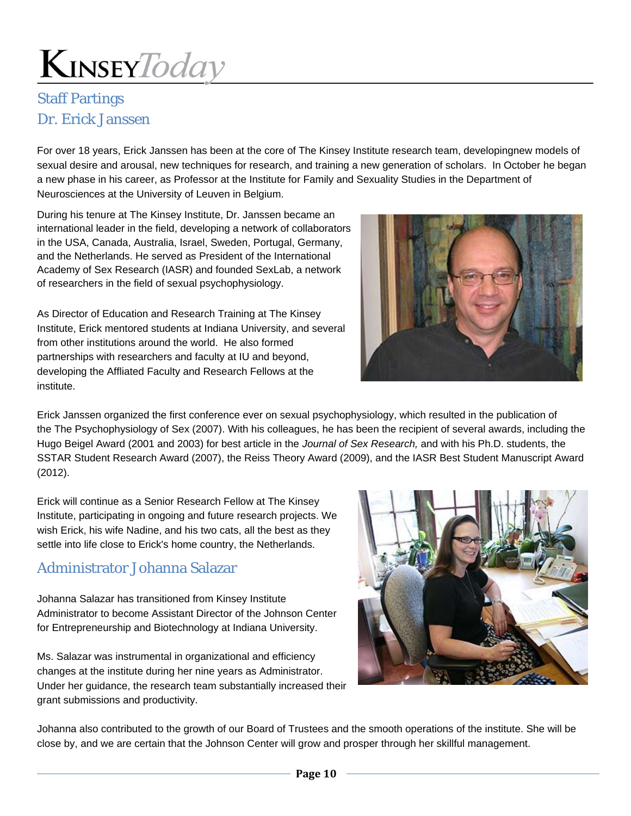### Staff Partings Dr. Erick Janssen

For over 18 years, Erick Janssen has been at the core of The Kinsey Institute research team, developingnew models of sexual desire and arousal, new techniques for research, and training a new generation of scholars. In October he began a new phase in his career, as Professor at the Institute for Family and Sexuality Studies in the Department of Neurosciences at the University of Leuven in Belgium.

During his tenure at The Kinsey Institute, Dr. Janssen became an international leader in the field, developing a network of collaborators in the USA, Canada, Australia, Israel, Sweden, Portugal, Germany, and the Netherlands. He served as President of the International Academy of Sex Research (IASR) and founded SexLab, a network of researchers in the field of sexual psychophysiology.

As Director of Education and Research Training at The Kinsey Institute, Erick mentored students at Indiana University, and several from other institutions around the world. He also formed partnerships with researchers and faculty at IU and beyond, developing the Affliated Faculty and Research Fellows at the institute.



Erick Janssen organized the first conference ever on sexual psychophysiology, which resulted in the publication of the The Psychophysiology of Sex (2007). With his colleagues, he has been the recipient of several awards, including the Hugo Beigel Award (2001 and 2003) for best article in the *Journal of Sex Research,* and with his Ph.D. students, the SSTAR Student Research Award (2007), the Reiss Theory Award (2009), and the IASR Best Student Manuscript Award (2012).

Erick will continue as a Senior Research Fellow at The Kinsey Institute, participating in ongoing and future research projects. We wish Erick, his wife Nadine, and his two cats, all the best as they settle into life close to Erick's home country, the Netherlands.

#### Administrator Johanna Salazar

Johanna Salazar has transitioned from Kinsey Institute Administrator to become Assistant Director of the Johnson Center for Entrepreneurship and Biotechnology at Indiana University.

Ms. Salazar was instrumental in organizational and efficiency changes at the institute during her nine years as Administrator. Under her guidance, the research team substantially increased their grant submissions and productivity.



Johanna also contributed to the growth of our Board of Trustees and the smooth operations of the institute. She will be close by, and we are certain that the Johnson Center will grow and prosper through her skillful management.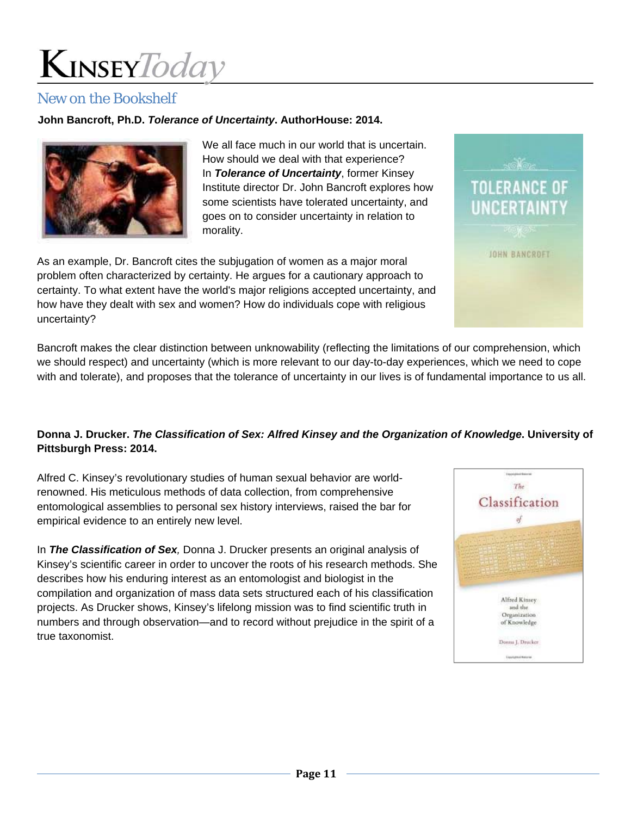#### New on the Bookshelf

#### **John Bancroft, Ph.D.** *Tolerance of Uncertainty***. AuthorHouse: 2014.**



We all face much in our world that is uncertain. How should we deal with that experience? In *Tolerance of Uncertainty*, former Kinsey Institute director Dr. John Bancroft explores how some scientists have tolerated uncertainty, and goes on to consider uncertainty in relation to morality.

As an example, Dr. Bancroft cites the subjugation of women as a major moral problem often characterized by certainty. He argues for a cautionary approach to certainty. To what extent have the world's major religions accepted uncertainty, and how have they dealt with sex and women? How do individuals cope with religious uncertainty?

Bancroft makes the clear distinction between unknowability (reflecting the limitations of our comprehension, which we should respect) and uncertainty (which is more relevant to our day-to-day experiences, which we need to cope with and tolerate), and proposes that the tolerance of uncertainty in our lives is of fundamental importance to us all.

#### **Donna J. Drucker.** *The Classification of Sex: Alfred Kinsey and the Organization of Knowledge***. University of Pittsburgh Press: 2014.**

Alfred C. Kinsey's revolutionary studies of human sexual behavior are worldrenowned. His meticulous methods of data collection, from comprehensive entomological assemblies to personal sex history interviews, raised the bar for empirical evidence to an entirely new level.

In *The Classification of Sex,* Donna J. Drucker presents an original analysis of Kinsey's scientific career in order to uncover the roots of his research methods. She describes how his enduring interest as an entomologist and biologist in the compilation and organization of mass data sets structured each of his classification projects. As Drucker shows, Kinsey's lifelong mission was to find scientific truth in numbers and through observation—and to record without prejudice in the spirit of a true taxonomist.



**TOLERANCE OF UNCERTAINTY** 

JOHN BANCROFT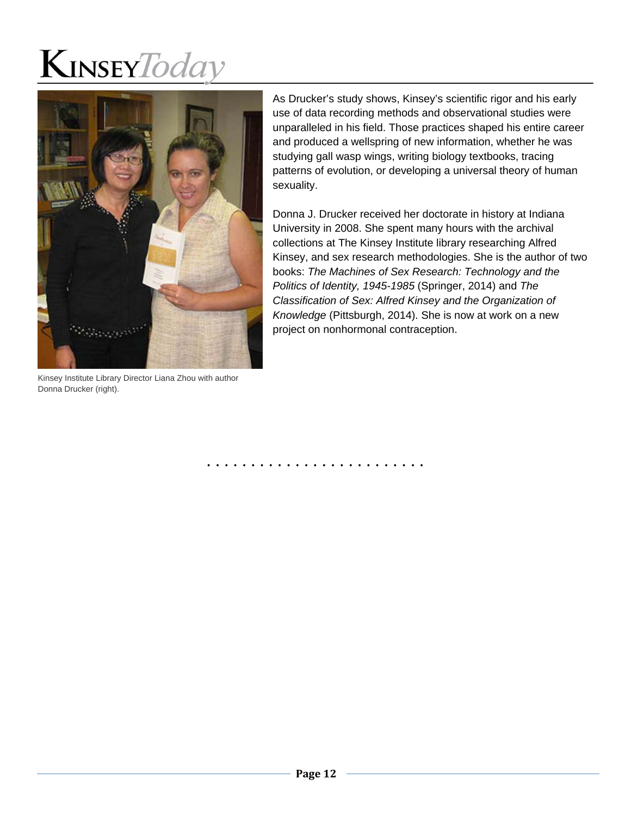

Kinsey Institute Library Director Liana Zhou with author Donna Drucker (right).

As Drucker's study shows, Kinsey's scientific rigor and his early use of data recording methods and observational studies were unparalleled in his field. Those practices shaped his entire career and produced a wellspring of new information, whether he was studying gall wasp wings, writing biology textbooks, tracing patterns of evolution, or developing a universal theory of human sexuality.

Donna J. Drucker received her doctorate in history at Indiana University in 2008. She spent many hours with the archival collections at The Kinsey Institute library researching Alfred Kinsey, and sex research methodologies. She is the author of two books: *The Machines of Sex Research: Technology and the Politics of Identity, 1945-1985* (Springer, 2014) and *The Classification of Sex: Alfred Kinsey and the Organization of Knowledge* (Pittsburgh, 2014). She is now at work on a new project on nonhormonal contraception.

. . . . . . . . . . . . . . . . . . . . . . . . .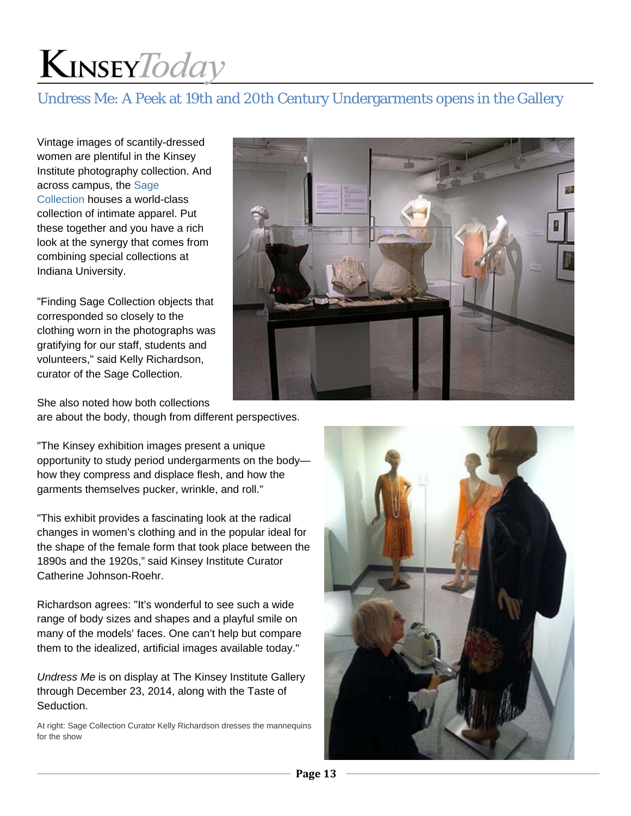### Undress Me: A Peek at 19th and 20th Century Undergarments opens in the Gallery

Vintage images of scantily-dressed women are plentiful in the Kinsey Institute photography collection. And across campus, the Sage Collection houses a world-class collection of intimate apparel. Put these together and you have a rich look at the synergy that comes from combining special collections at Indiana University.

"Finding Sage Collection objects that corresponded so closely to the clothing worn in the photographs was gratifying for our staff, students and volunteers," said Kelly Richardson, curator of the Sage Collection.

She also noted how both collections are about the body, though from different perspectives.

"The Kinsey exhibition images present a unique opportunity to study period undergarments on the body how they compress and displace flesh, and how the garments themselves pucker, wrinkle, and roll."

"This exhibit provides a fascinating look at the radical changes in women's clothing and in the popular ideal for the shape of the female form that took place between the 1890s and the 1920s," said Kinsey Institute Curator Catherine Johnson-Roehr.

Richardson agrees: "It's wonderful to see such a wide range of body sizes and shapes and a playful smile on many of the models' faces. One can't help but compare them to the idealized, artificial images available today."

*Undress Me* is on display at The Kinsey Institute Gallery through December 23, 2014, along with the Taste of Seduction.

At right: Sage Collection Curator Kelly Richardson dresses the mannequins for the show